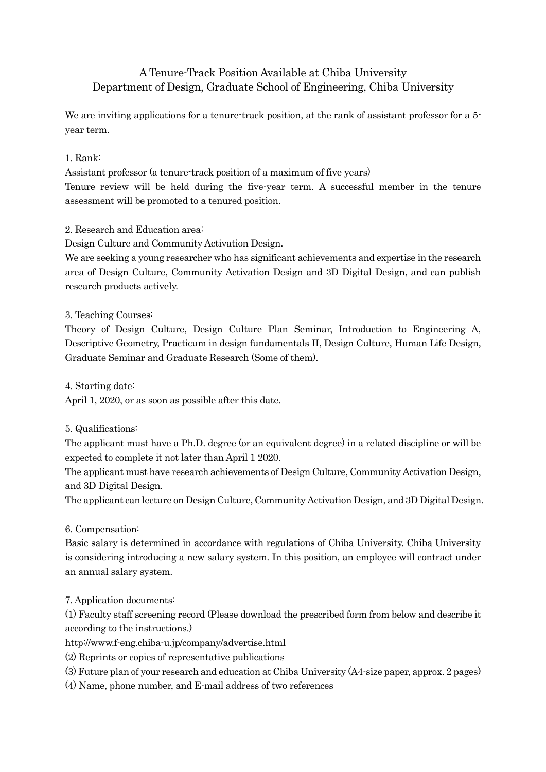# A Tenure-Track Position Available at Chiba University Department of Design, Graduate School of Engineering, Chiba University

We are inviting applications for a tenure-track position, at the rank of assistant professor for a 5year term.

## 1. Rank:

Assistant professor (a tenure-track position of a maximum of five years) Tenure review will be held during the five-year term. A successful member in the tenure assessment will be promoted to a tenured position.

### 2. Research and Education area:

Design Culture and Community Activation Design.

We are seeking a young researcher who has significant achievements and expertise in the research area of Design Culture, Community Activation Design and 3D Digital Design, and can publish research products actively.

### 3. Teaching Courses:

Theory of Design Culture, Design Culture Plan Seminar, Introduction to Engineering A, Descriptive Geometry, Practicum in design fundamentals II, Design Culture, Human Life Design, Graduate Seminar and Graduate Research (Some of them).

4. Starting date:

April 1, 2020, or as soon as possible after this date.

### 5. Qualifications:

The applicant must have a Ph.D. degree (or an equivalent degree) in a related discipline or will be expected to complete it not later than April 1 2020.

The applicant must have research achievements of Design Culture, Community Activation Design, and 3D Digital Design.

The applicant can lecture on Design Culture, Community Activation Design, and 3D Digital Design.

### 6. Compensation:

Basic salary is determined in accordance with regulations of Chiba University. Chiba University is considering introducing a new salary system. In this position, an employee will contract under an annual salary system.

7. Application documents:

(1) Faculty staff screening record (Please download the prescribed form from below and describe it according to the instructions.)

http://www.f-eng.chiba-u.jp/company/advertise.html

(2) Reprints or copies of representative publications

(3) Future plan of your research and education at Chiba University (A4-size paper, approx. 2 pages)

(4) Name, phone number, and E-mail address of two references